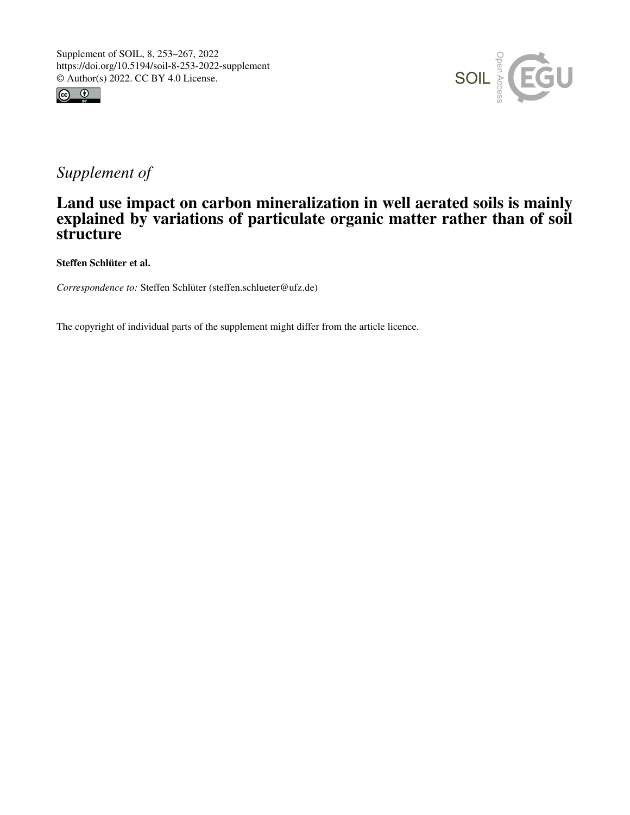



## *Supplement of*

## Land use impact on carbon mineralization in well aerated soils is mainly explained by variations of particulate organic matter rather than of soil structure

Steffen Schlüter et al.

*Correspondence to:* Steffen Schlüter (steffen.schlueter@ufz.de)

The copyright of individual parts of the supplement might differ from the article licence.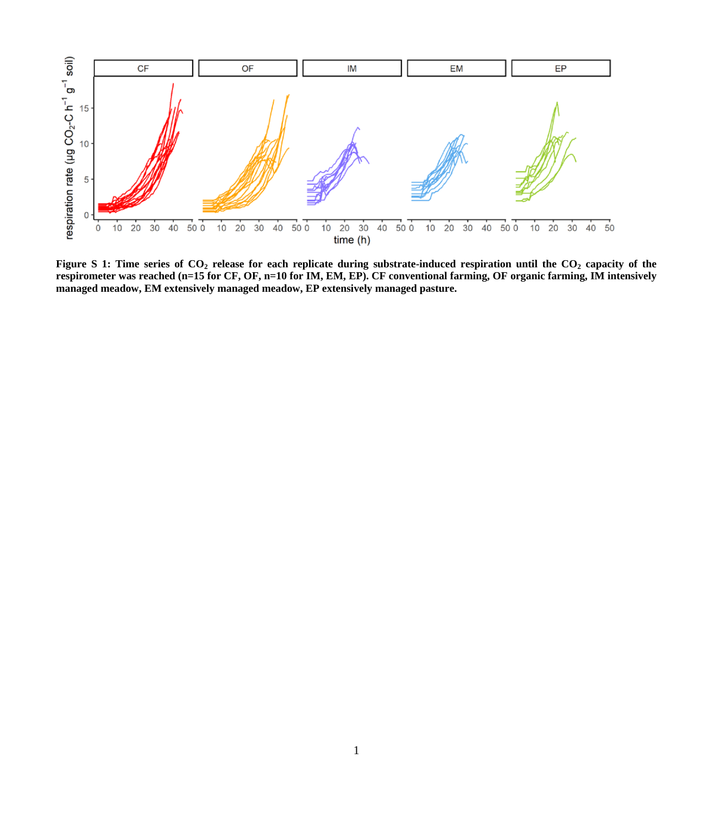

Figure S 1: Time series of CO<sub>2</sub> release for each replicate during substrate-induced respiration until the CO<sub>2</sub> capacity of the **respirometer was reached (n=15 for CF, OF, n=10 for IM, EM, EP). CF conventional farming, OF organic farming, IM intensively managed meadow, EM extensively managed meadow, EP extensively managed pasture.**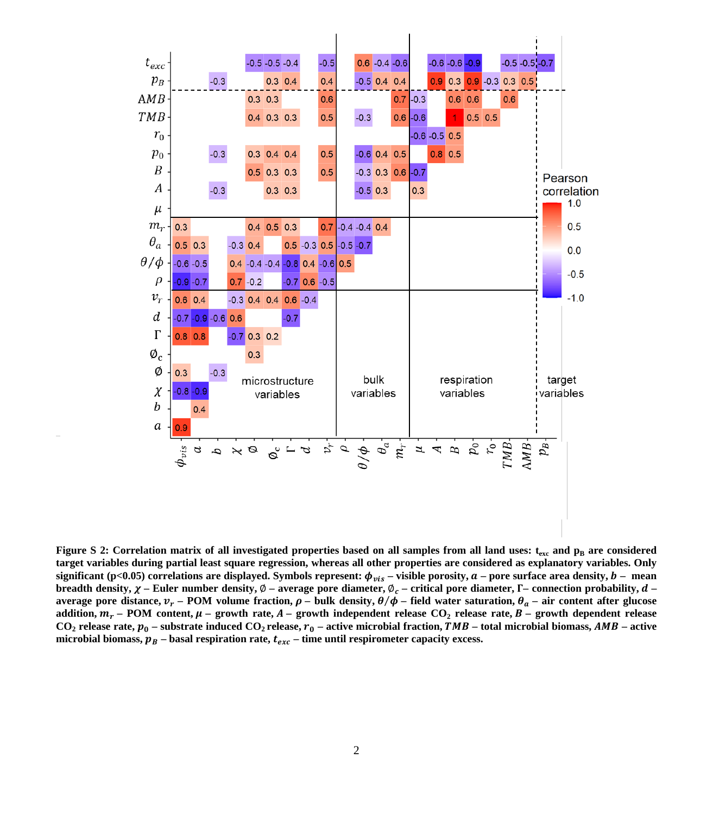

**Figure S 2: Correlation matrix of all investigated properties based on all samples from all land uses:**  $t_{\text{exc}}$  **and**  $p_{\text{B}}$  **are considered target variables during partial least square regression, whereas all other properties are considered as explanatory variables. Only**  significant (p<0.05) correlations are displayed. Symbols represent:  $\phi_{vis}$  – visible porosity,  $a$  – pore surface area density,  $b$  – mean **breadth density,**  $\chi$  **– Euler number density,**  $\emptyset$  **– average pore diameter,**  $\emptyset$ **<sub>c</sub> – critical pore diameter,**  $\Gamma$ **– connection probability,**  $d$  **– average pore distance,**  $v_r$  **– POM volume fraction,**  $\rho$  **– bulk density,**  $\theta/\phi$  **– field water saturation,**  $\theta_a$  **– air content after glucose addition,**  $m_r$  **– POM content,**  $\mu$  **– growth rate,**  $A$  **– growth independent release CO<sub>2</sub> release rate,**  $B$  **– growth dependent release**  $CO_2$  **release rate,**  $p_0$  **– substrate induced**  $CO_2$  **release,**  $r_0$  **– active microbial fraction,**  $TMB$  **– total microbial biomass,**  $AMB$  **– active** microbial biomass,  $\mathbf{p}_B$  – basal respiration rate,  $t_{exc}$  – time until respirometer capacity excess.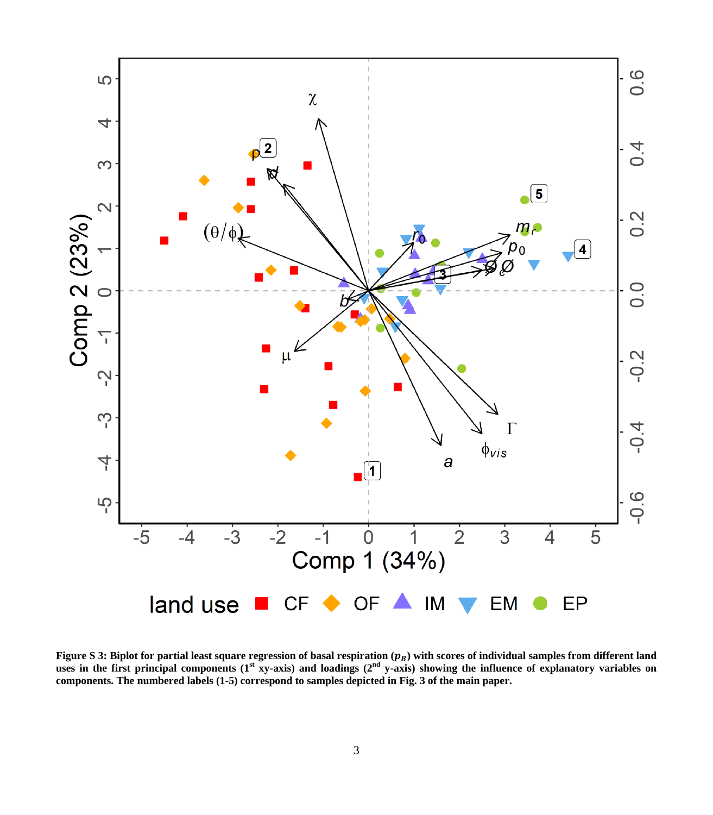

Figure S 3: Biplot for partial least square regression of basal respiration ( $p_B$ ) with scores of individual samples from different land<br>uses in the first principal components (1st xy-axis) and loadings (2nd y-axis) showi **components. The numbered labels (1-5) correspond to samples depicted in Fig. 3 of the main paper.**